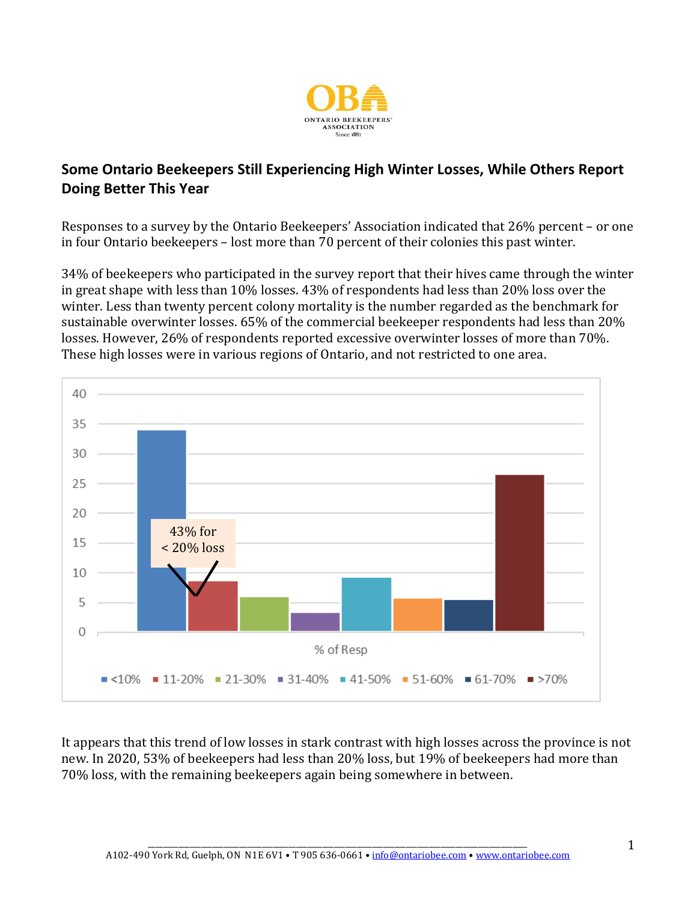

## **Some Ontario Beekeepers Still Experiencing High Winter Losses, While Others Report Doing Better This Year**

Responses to a survey by the Ontario Beekeepers' Association indicated that 26% percent – or one in four Ontario beekeepers – lost more than 70 percent of their colonies this past winter.

34% of beekeepers who participated in the survey report that their hives came through the winter in great shape with less than 10% losses. 43% of respondents had less than 20% loss over the winter. Less than twenty percent colony mortality is the number regarded as the benchmark for sustainable overwinter losses. 65% of the commercial beekeeper respondents had less than 20% losses. However, 26% of respondents reported excessive overwinter losses of more than 70%. These high losses were in various regions of Ontario, and not restricted to one area.



It appears that this trend of low losses in stark contrast with high losses across the province is not new. In 2020, 53% of beekeepers had less than 20% loss, but 19% of beekeepers had more than 70% loss, with the remaining beekeepers again being somewhere in between.